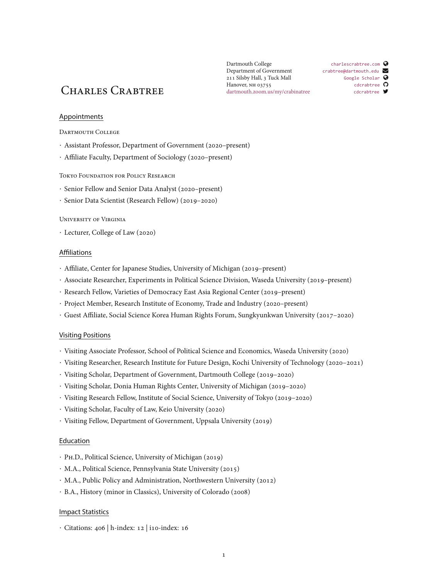# CHARLES CRABTREE dartmouth.zoom.us/my/crabinatree concreasive of

Dartmouth College Department of Government 211 Silsby Hall, 3 Tuck Mall Hanover, NH 03755 [dartmouth.zoom.us/my/crabinatree](https://dartmouth.zoom.us/my/crabinatree)

[charlescrabtree.com](http://charlescrabtree.com)  $\bullet$ [crabtree@dartmouth.edu](mailto:crabtree@dartmouth.edu) $\triangleright$ [Google Scholar](http://goo.gl/ZRLMoi) [cdcrabtree](https://github.com/cdcrabtree/)  $\Omega$ 

## **Appointments**

DARTMOUTH COLLEGE

- *·* Assistant Professor, Department of Government (2020–present)
- *·* Affiliate Faculty, Department of Sociology (2020–present)

Tokyo Foundation for Policy Research

- *·* Senior Fellow and Senior Data Analyst (2020–present)
- *·* Senior Data Scientist (Research Fellow) (2019–2020)

#### University of Virginia

*·* Lecturer, College of Law (2020)

## Affiliations

- *·* Affiliate, Center for Japanese Studies, University of Michigan (2019–present)
- *·* Associate Researcher, Experiments in Political Science Division, Waseda University (2019–present)
- *·* Research Fellow, Varieties of Democracy East Asia Regional Center (2019–present)
- *·* Project Member, Research Institute of Economy, Trade and Industry (2020–present)
- *·* Guest Affiliate, Social Science Korea Human Rights Forum, Sungkyunkwan University (2017–2020)

## Visiting Positions

- *·* Visiting Associate Professor, School of Political Science and Economics, Waseda University (2020)
- *·* Visiting Researcher, Research Institute for Future Design, Kochi University of Technology (2020–2021)
- *·* Visiting Scholar, Department of Government, Dartmouth College (2019–2020)
- *·* Visiting Scholar, Donia Human Rights Center, University of Michigan (2019–2020)
- *·* Visiting Research Fellow, Institute of Social Science, University of Tokyo (2019–2020)
- *·* Visiting Scholar, Faculty of Law, Keio University (2020)
- *·* Visiting Fellow, Department of Government, Uppsala University (2019)

## Education

- *·* Ph.D., Political Science, University of Michigan (2019)
- *·* M.A., Political Science, Pennsylvania State University (2015)
- *·* M.A., Public Policy and Administration, Northwestern University (2012)
- *·* B.A., History (minor in Classics), University of Colorado (2008)

#### Impact Statistics

*·* Citations: 406 | h-index: 12 | i10-index: 16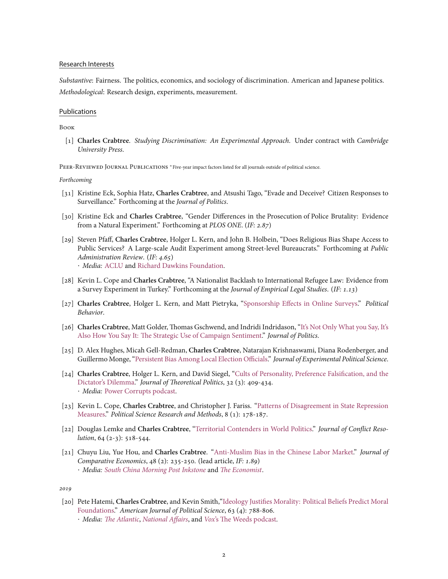#### Research Interests

*Substantive*: Fairness. The politics, economics, and sociology of discrimination. American and Japanese politics. *Methodological*: Research design, experiments, measurement.

#### Publications

Book

[1] **Charles Crabtree**. *Studying Discrimination: An Experimental Approach*. Under contract with *Cambridge University Press*.

Peer-Reviewed Journal Publications *<sup>∗</sup>* Five-year impact factors listed for all journals outside of political science.

*Forthcoming*

- [31] Kristine Eck, Sophia Hatz, **Charles Crabtree**, and Atsushi Tago, "Evade and Deceive? Citizen Responses to Surveillance." Forthcoming at the *Journal of Politics*.
- [30] Kristine Eck and **Charles Crabtree**, "Gender Differences in the Prosecution of Police Brutality: Evidence from a Natural Experiment." Forthcoming at *PLOS ONE*. (*IF: 2.87*)
- [29] Steven Pfaff, **Charles Crabtree**, Holger L. Kern, and John B. Holbein, "Does Religious Bias Shape Access to Public Services? A Large-scale Audit Experiment among Street-level Bureaucrats." Forthcoming at *Public Administration Review*. (*IF: 4.65*) *· Media:* [ACLU](https://www.aclu.org/news/religious-liberty/no-more-forced-prayers-in-school/) and [Richard Dawkins Foundation](https://www.richarddawkins.net/2020/09/u-s-school-principals-discriminate-against-muslims-and-atheists-our-study-finds/).
- [28] Kevin L. Cope and **Charles Crabtree**, "A Nationalist Backlash to International Refugee Law: Evidence from a Survey Experiment in Turkey." Forthcoming at the *Journal of Empirical Legal Studies*. (*IF: 1.13*)
- [27] **Charles Crabtree**, Holger L. Kern, and Matt Pietryka, ["Sponsorship Effects in Online Surveys.](https://link.springer.com/article/10.1007/s11109-020-09620-7)" *Political Behavior*.
- [26] **Charles Crabtree**, Matt Golder, Thomas Gschwend, and Indridi Indridason,"[It's Not Only What you Say, It's](https://t.co/SVRAKnGt5E?amp=1) [Also How You Say It: The Strategic Use of Campaign Sentiment.](https://t.co/SVRAKnGt5E?amp=1)" *Journal of Politics*.
- [25] D. Alex Hughes, Micah Gell-Redman, **Charles Crabtree**, Natarajan Krishnaswami, Diana Rodenberger, and Guillermo Monge,"[Persistent Bias Among Local Election Officials.](https://www.cambridge.org/core/journals/journal-of-experimental-political-science/article/persistent-bias-among-local-election-officials/75176D746F029D72D7197F9CC3CAD831)" *Journal of Experimental Political Science*.
- [24] **Charles Crabtree**, Holger L. Kern, and David Siegel, ["Cults of Personality, Preference Falsification, and the](https://journals.sagepub.com/doi/abs/10.1177/0951629820927790?journalCode=jtpa) [Dictator's Dilemma.](https://journals.sagepub.com/doi/abs/10.1177/0951629820927790?journalCode=jtpa)" *Journal of Theoretical Politics*, 32 (3): 409-434. *· Media:* [Power Corrupts podcast.](https://www.powercorruptspodcast.com/episodes#/from-dictator-to-demigod/)
- [23] Kevin L. Cope, **Charles Crabtree**, and Christopher J. Fariss."[Patterns of Disagreement in State Repression](https://www.cambridge.org/core/journals/political-science-research-and-methods/article/patterns-of-disagreement-in-indicators-of-state-repression/FBCA92BDEFD630ED364DEFE73600172F) [Measures.](https://www.cambridge.org/core/journals/political-science-research-and-methods/article/patterns-of-disagreement-in-indicators-of-state-repression/FBCA92BDEFD630ED364DEFE73600172F)" *Political Science Research and Methods*, 8 (1): 178-187.
- [22] Douglas Lemke and **Charles Crabtree**, ["Territorial Contenders in World Politics.](https://journals.sagepub.com/doi/full/10.1177/0022002719847742)" *Journal of Conflict Resolution*, 64 (2-3): 518-544.
- [21] Chuyu Liu, Yue Hou, and **Charles Crabtree**. ["Anti-Muslim Bias in the Chinese Labor Market.](https://www.sciencedirect.com/science/article/pii/S0147596719301015)" *Journal of Comparative Economics*, 48 (2): 235-250. (lead article, *IF: 1.89*) *· Media: [South China Morning Post Inkstone](https://www.inkstonenews.com/society/survey-finds-strong-anti-muslim-hiring-discrimination-china/article/3046207)* and *[The Economist](https://www.economist.com/graphic-detail/2020/02/22/chinas-minorities-have-a-tough-time-finding-jobs?fsrc=scn%2Ftw%2Fte%2Fbl%2Fed%2Fchinasminoritieshaveatoughtimefindingjobscallmemaybe&%3Ffsrc%3Dscn%2F=tw%2Fdc)*.

*2019*

[20] Pete Hatemi, **Charles Crabtree**, and Kevin Smith,["Ideology Justifies Morality: Political Beliefs Predict Moral](https://onlinelibrary.wiley.com/doi/abs/10.1111/ajps.12448) [Foundations.](https://onlinelibrary.wiley.com/doi/abs/10.1111/ajps.12448)" *American Journal of Political Science*, 63 (4): 788-806. *· Media: [The Atlantic](https://www.theatlantic.com/health/archive/2019/09/political-party-morals/597517/)*, *[National Affairs](https://www.nationalaffairs.com/blog/detail/findings-a-daily-roundup/means-to-an-end)*, and *Vox*['s The Weeds podcast.](https://open.spotify.com/episode/0vy8gG7riysg1mKKVVB4W4)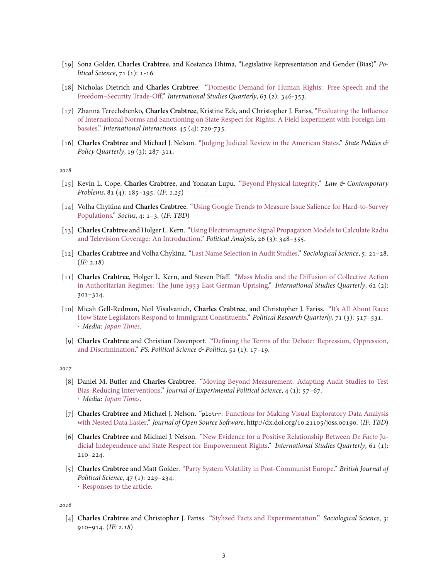- [19] Sona Golder, **Charles Crabtree**, and Kostanca Dhima, "Legislative Representation and Gender (Bias)" *Political Science*, 71 (1): 1-16.
- [18] Nicholas Dietrich and **Charles Crabtree**. ["Domestic Demand for Human Rights: Free Speech and the](https://academic.oup.com/isq/article-abstract/63/2/346/5398553) [Freedom–Security Trade-Off](https://academic.oup.com/isq/article-abstract/63/2/346/5398553)." *International Studies Quarterly*, 63 (2): 346-353.
- [17] Zhanna Terechshenko, **Charles Crabtree**, Kristine Eck, and Christopher J. Fariss, ["Evaluating the Influence](https://www.tandfonline.com/doi/full/10.1080/03050629.2019.1622543) [of International Norms and Sanctioning on State Respect for Rights: A Field Experiment with Foreign Em](https://www.tandfonline.com/doi/full/10.1080/03050629.2019.1622543)[bassies](https://www.tandfonline.com/doi/full/10.1080/03050629.2019.1622543)." *International Interactions*, 45 (4): 720-735.
- [16] **Charles Crabtree** and Michael J. Nelson. ["Judging Judicial Review in the American States](https://journals.sagepub.com/doi/10.1177/1532440019826069)." *State Politics & Policy Quarterly*, 19 (3): 287-311.

*2018*

- [15] Kevin L. Cope, **Charles Crabtree**, and Yonatan Lupu."[Beyond Physical Integrity](https://scholarship.law.duke.edu/lcp/vol81/iss4/9/)." *Law & Contemporary Problems*, 81 (4): 185–195. (*IF: 1.25*)
- [14] Volha Chykina and **Charles Crabtree**. ["Using Google Trends to Measure Issue Salience for Hard-to-Survey](https://journals.sagepub.com/doi/full/10.1177/2378023118760414) [Populations](https://journals.sagepub.com/doi/full/10.1177/2378023118760414)." *Socius*, 4: 1–3. (*IF: TBD*)
- [13] **Charles Crabtree** and Holger L. Kern. ["Using Electromagnetic Signal Propagation Models to Calculate Radio](https://www.cambridge.org/core/journals/political-analysis/article/using-electromagnetic-signal-propagation-models-for-radio-and-television-broadcasts-an-introduction/4DC2319415065AA2EBACD1E9952827FE) [and Television Coverage: An Introduction.](https://www.cambridge.org/core/journals/political-analysis/article/using-electromagnetic-signal-propagation-models-for-radio-and-television-broadcasts-an-introduction/4DC2319415065AA2EBACD1E9952827FE)" *Political Analysis*, 26 (3): 348–355.
- [12] **Charles Crabtree** and Volha Chykina."[Last Name Selection in Audit Studies.](https://www.sociologicalscience.com/articles-v5-2-21/)" *Sociological Science*, 5: 21–28. (*IF: 2.18*)
- [11] **Charles Crabtree**, Holger L. Kern, and Steven Pfaff."[Mass Media and the Diffusion of Collective Action](https://academic.oup.com/isq/article-abstract/62/2/301/5005854?redirectedFrom=fulltext) [in Authoritarian Regimes: The June 1953 East German Uprising](https://academic.oup.com/isq/article-abstract/62/2/301/5005854?redirectedFrom=fulltext)." *International Studies Quarterly*, 62 (2): 301–314.
- [10] Micah Gell-Redman, Neil Visalvanich, **Charles Crabtree**, and Christopher J. Fariss."[It's All About Race:](https://journals.sagepub.com/doi/pdf/10.1177/1065912917749322) [How State Legislators Respond to Immigrant Constituents](https://journals.sagepub.com/doi/pdf/10.1177/1065912917749322)." *Political Research Quarterly*, 71 (3): 517–531. *· Media: [Japan Times](https://www.japantimes.co.jp/opinion/2020/06/28/commentary/world-commentary/blacks-experience-systematic-discrimination-u-s/)*.
- [9] **Charles Crabtree** and Christian Davenport. ["Defining the Terms of the Debate: Repression, Oppression,](https://www.cambridge.org/core/journals/ps-political-science-and-politics/article/contentious-politics-in-the-trump-era/8A14EC673CE2459E4EDD5AF4B1B704C7) [and Discrimination](https://www.cambridge.org/core/journals/ps-political-science-and-politics/article/contentious-politics-in-the-trump-era/8A14EC673CE2459E4EDD5AF4B1B704C7)." *PS: Political Science & Politics*, 51 (1): 17–19.

*2017*

- [8] Daniel M. Butler and **Charles Crabtree**. ["Moving Beyond Measurement: Adapting Audit Studies to Test](https://www.cambridge.org/core/journals/journal-of-experimental-political-science/article/moving-beyond-measurement-adapting-audit-studies-to-test-biasreducing-interventions/BCF420E37046078DE9CC450BAC9A3B90) [Bias-Reducing Interventions.](https://www.cambridge.org/core/journals/journal-of-experimental-political-science/article/moving-beyond-measurement-adapting-audit-studies-to-test-biasreducing-interventions/BCF420E37046078DE9CC450BAC9A3B90)" *Journal of Experimental Political Science*, 4 (1): 57–67. *· Media: [Japan Times](https://www.japantimes.co.jp/opinion/2020/06/28/commentary/world-commentary/blacks-experience-systematic-discrimination-u-s/)*.
- [7] **Charles Crabtree** and Michael J. Nelson. "plotrr: [Functions for Making Visual Exploratory Data Analysis](https://joss.theoj.org/papers/10.21105/joss.00190) [with Nested Data Easier.](https://joss.theoj.org/papers/10.21105/joss.00190)" *Journal of Open Source Software*, http://dx.doi.org/10.21105/joss.00190. (*IF: TBD*)
- [6] **Charles Crabtree** and Michael J. Nelson. ["New Evidence for a Positive Relationship Between](https://academic.oup.com/isq/article-abstract/61/1/210/3817171?redirectedFrom=fulltext) *De Facto* Ju[dicial Independence and State Respect for Empowerment Rights.](https://academic.oup.com/isq/article-abstract/61/1/210/3817171?redirectedFrom=fulltext)" *International Studies Quarterly*, 61 (1): 210–224.
- [5] **Charles Crabtree** and Matt Golder. ["Party System Volatility in Post-Communist Europe.](https://www.cambridge.org/core/journals/british-journal-of-political-science/article/party-system-volatility-in-postcommunist-europe/867F377077DD1AD845C47A54FCDC6783)" *British Journal of Political Science*, 47 (1): 229–234. *·* [Responses to the article.](http://mattgolder.com/volatility)

*2016*

[4] **Charles Crabtree** and Christopher J. Fariss."[Stylized Facts and Experimentation](https://www.sociologicalscience.com/articles-v3-39-910/)." *Sociological Science*, 3: 910–914. (*IF: 2.18*)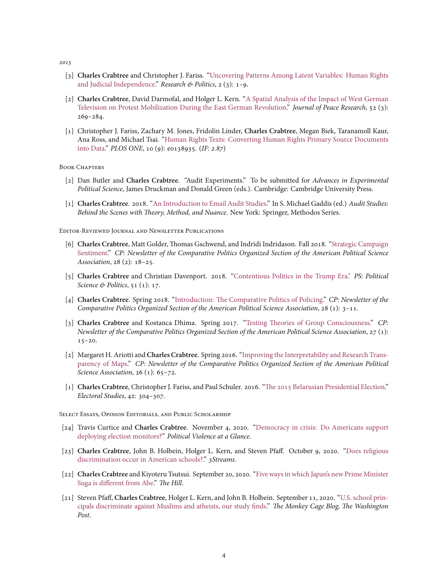*2015*

- [3] **Charles Crabtree** and Christopher J. Fariss."[Uncovering Patterns Among Latent Variables: Human Rights](https://journals.sagepub.com/doi/10.1177/2053168015605343) [and Judicial Independence.](https://journals.sagepub.com/doi/10.1177/2053168015605343)" *Research & Politics*, 2 (3): 1–9.
- [2] **Charles Crabtree**, David Darmofal, and Holger L. Kern."[A Spatial Analysis of the Impact of West German](https://journals.sagepub.com/doi/10.1177/0022343314554245) [Television on Protest Mobilization During the East German Revolution](https://journals.sagepub.com/doi/10.1177/0022343314554245)." *Journal of Peace Research*, 52 (3): 269–284.
- [1] Christopher J. Fariss, Zachary M. Jones, Fridolin Linder, **Charles Crabtree**, Megan Biek, Taranamoll Kaur, Ana Ross, and Michael Tsai."[Human Rights Texts: Converting Human Rights Primary Source Documents](https://journals.plos.org/plosone/article?id=10.1371/journal.pone.0138935) [into Data](https://journals.plos.org/plosone/article?id=10.1371/journal.pone.0138935)." *PLOS ONE*, 10 (9): e0138935. (*IF: 2.87*)

#### BOOK CHAPTERS

- [2] Dan Butler and **Charles Crabtree**. "Audit Experiments." To be submitted for *Advances in Experimental Political Science*, James Druckman and Donald Green (eds.). Cambridge: Cambridge University Press.
- [1] **Charles Crabtree**. 2018."[An Introduction to Email Audit Studies](https://github.com/cdcrabtree/emailaudits/blob/master/crabtree2018.pdf)." In S. Michael Gaddis (ed.) *Audit Studies: Behind the Scenes with Theory, Method, and Nuance*. New York: Springer, Methodos Series.

Editor-Reviewed Journal and Newsletter Publications

- [6] **Charles Crabtree**, Matt Golder, Thomas Gschwend, and Indridi Indridason. Fall 2018. ["Strategic Campaign](http://comparativenewsletter.com/files/archived_newsletters/2018_fall.pdf) [Sentiment.](http://comparativenewsletter.com/files/archived_newsletters/2018_fall.pdf)" *CP: Newsletter of the Comparative Politics Organized Section of the American Political Science Association*, 28 (2): 18–25.
- [5] **Charles Crabtree** and Christian Davenport. 2018."[Contentious Politics in the Trump Era](https://www.cambridge.org/core/journals/ps-political-science-and-politics/article/contentious-politics-in-the-trump-era/8A14EC673CE2459E4EDD5AF4B1B704C7).' *PS: Political Science & Politics*, 51 (1): 17.
- [4] **Charles Crabtree**. Spring 2018."[Introduction: The Comparative Politics of Policing](http://comparativenewsletter.com/files/archived_newsletters/2018_spring.pdf)." *CP: Newsletter of the Comparative Politics Organized Section of the American Political Science Association*, 28 (1): 3–11.
- [3] **Charles Crabtree** and Kostanca Dhima. Spring 2017. ["Testing Theories of Group Consciousness](http://comparativenewsletter.com/files/archived_newsletters/Newsletter_2017Sp.pdf)." *CP: Newsletter of the Comparative Politics Organized Section of the American Political Science Association*, 27 (1):  $15 - 20.$
- [2] Margaret H. Ariotti and**Charles Crabtree**. Spring 2016. ["Improving the Interpretability and Research Trans](http://comparativenewsletter.com/files/archived_newsletters/newsletter_spring2016.pdf)[parency of Maps.](http://comparativenewsletter.com/files/archived_newsletters/newsletter_spring2016.pdf)" *CP: Newsletter of the Comparative Politics Organized Section of the American Political Science Association*, 26 (1): 65-72.
- [1] **Charles Crabtree**, Christopher J. Fariss, and Paul Schuler. 2016. ["The 2015 Belarusian Presidential Election](https://www.sciencedirect.com/science/article/pii/S0261379415300925)." *Electoral Studies*, 42: 304–307.

Select Essays, Opinion Editorials, and Public Scholarship

- [24] Travis Curtice and **Charles Crabtree**. November 4, 2020."[Democracy in crisis: Do Americans support](https://politicalviolenceataglance.org/2020/11/03/democracy-in-crisis-do-americans-support-deploying-election-monitors/) [deploying election monitors?](https://politicalviolenceataglance.org/2020/11/03/democracy-in-crisis-do-americans-support-deploying-election-monitors/)" *Political Violence at a Glance*.
- [23] **Charles Crabtree**, John B. Holbein, Holger L. Kern, and Steven Pfaff. October 9, 2020. ["Does religious](https://medium.com/3streams/does-religious-discrimination-occur-in-american-schools-11a59f508eb6) [discrimination occur in American schools?](https://medium.com/3streams/does-religious-discrimination-occur-in-american-schools-11a59f508eb6)." *3Streams*.
- [22] **Charles Crabtree** and Kiyoteru Tsutsui. September 20, 2020."[Five ways in which Japan's new Prime Minister](https://thehill.com/opinion/international/516984-five-ways-in-which-japans-new-prime-minister-suga-is-different-from-abe) [Suga is different from Abe.](https://thehill.com/opinion/international/516984-five-ways-in-which-japans-new-prime-minister-suga-is-different-from-abe)" *The Hill*.
- [21] Steven Pfaff, **Charles Crabtree**, Holger L. Kern, and John B. Holbein. September 11, 2020."[U.S. school prin](https://www.washingtonpost.com/politics/2020/09/11/us-school-principals-discriminate-against-muslims-atheists-our-study-finds/)[cipals discriminate against Muslims and atheists, our study finds.](https://www.washingtonpost.com/politics/2020/09/11/us-school-principals-discriminate-against-muslims-atheists-our-study-finds/)" *The Monkey Cage Blog, The Washington Post*.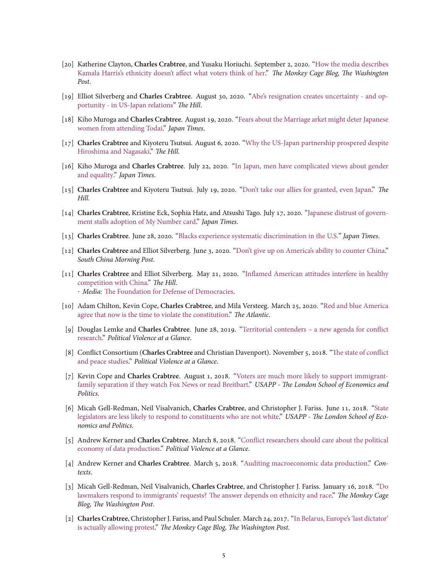- [20] Katherine Clayton, **Charles Crabtree**, and Yusaku Horiuchi. September 2, 2020."[How the media describes](https://www.washingtonpost.com/politics/2020/09/02/how-media-describes-kamala-harriss-ethnicity-doesnt-affect-what-voters-think-her/) [Kamala Harris's ethnicity doesn't affect what voters think of her](https://www.washingtonpost.com/politics/2020/09/02/how-media-describes-kamala-harriss-ethnicity-doesnt-affect-what-voters-think-her/)." *The Monkey Cage Blog, The Washington Post*.
- [19] Elliot Silverberg and **Charles Crabtree**. August 30, 2020. ["Abe's resignation creates uncertainty and op](https://thehill.com/opinion/international/514311-abes-resignation-creates-uncertainty-and-opportunity-in-us-japan )[portunity - in US-Japan relations"](https://thehill.com/opinion/international/514311-abes-resignation-creates-uncertainty-and-opportunity-in-us-japan ) *The Hill*.
- [18] Kiho Muroga and **Charles Crabtree**. August 19, 2020."[Fears about the Marriage arket might deter Japanese](https://www.japantimes.co.jp/opinion/2020/08/19/commentary/japan-commentary/marriage-japanese-women-tokyo-university/) [women from attending Todai](https://www.japantimes.co.jp/opinion/2020/08/19/commentary/japan-commentary/marriage-japanese-women-tokyo-university/)." *Japan Times*.
- [17] **Charles Crabtree** and Kiyoteru Tsutsui. August 6, 2020. ["Why the US-Japan partnership prospered despite](https://thehill.com/opinion/national-security/510495-why-the-us-japan-partnership-prospered-despite-hiroshima-and) [Hiroshima and Nagasaki.](https://thehill.com/opinion/national-security/510495-why-the-us-japan-partnership-prospered-despite-hiroshima-and)" *The Hill*.
- [16] Kiho Muroga and **Charles Crabtree**. July 22, 2020. ["In Japan, men have complicated views about gender](https://www.japantimes.co.jp/opinion/2020/07/21/commentary/japan-commentary/japan-men-complicated-views-gender-equality/) [and equality.](https://www.japantimes.co.jp/opinion/2020/07/21/commentary/japan-commentary/japan-men-complicated-views-gender-equality/)" *Japan Times*.
- [15] **Charles Crabtree** and Kiyoteru Tsutsui. July 19, 2020. ["Don't take our allies for granted, even Japan.](https://thehill.com/opinion/international/507545-dont-take-our-allies-for-granted-even-japan)" *The Hill*.
- [14] **Charles Crabtree**, Kristine Eck, Sophia Hatz, and Atsushi Tago. July 17, 2020."[Japanese distrust of govern](https://www.japantimes.co.jp/opinion/2020/07/17/commentary/japan-commentary/japanese-distrust-government-stalls-adoption-number-card/#.XxHr1JMzZ24)[ment stalls adoption of My Number card.](https://www.japantimes.co.jp/opinion/2020/07/17/commentary/japan-commentary/japanese-distrust-government-stalls-adoption-number-card/#.XxHr1JMzZ24)" *Japan Times*.
- [13] **Charles Crabtree**. June 28, 2020."[Blacks experience systematic discrimination in the U.S."](https://www.japantimes.co.jp/opinion/2020/06/28/commentary/world-commentary/blacks-experience-systematic-discrimination-u-s/) *Japan Times*.
- [12] **Charles Crabtree** and Elliot Silverberg. June 3, 2020."[Don't give up on America's ability to counter China](https://www.scmp.com/week-asia/opinion/article/3087145/asia-shouldnt-underestimate-americas-ability-counter-china)." *South China Morning Post*.
- [11] **Charles Crabtree** and Elliot Silverberg. May 21, 2020. ["Inflamed American attitudes interfere in healthy](https://thehill.com/opinion/international/498474-inflamed-american-attitudes-interfere-in-healthy-competition-with-china ) [competition with China](https://thehill.com/opinion/international/498474-inflamed-american-attitudes-interfere-in-healthy-competition-with-china )." *The Hill*. *· Media:* [The Foundation for Defense of Democracies.](https://www.fdd.org/overnight-brief/may-22-2020/)
- [10] Adam Chilton, Kevin Cope, **Charles Crabtree**, and Mila Versteeg. March 25, 2020. ["Red and blue America](https://bit.ly/2Jj2yGK) [agree that now is the time to violate the constitution](https://bit.ly/2Jj2yGK)." *The Atlantic*.
- [9] Douglas Lemke and **Charles Crabtree**. June 28, 2019. ["Territorial contenders a new agenda for conflict](https://bit.ly/2FGoaeF) [research](https://bit.ly/2FGoaeF)." *Political Violence at a Glance*.
- [8] Conflict Consortium (**Charles Crabtree** and Christian Davenport). November 5, 2018."[The state of conflict](https://bit.ly/2Qy4nS7) [and peace studies](https://bit.ly/2Qy4nS7)." *Political Violence at a Glance*.
- [7] Kevin Cope and **Charles Crabtree**. August 1, 2018. ["Voters are much more likely to support immigrant](https://bit.ly/2Ma90zA)[family separation if they watch Fox News or read Breitbart](https://bit.ly/2Ma90zA)." *USAPP - The London School of Economics and Politics*.
- [6] Micah Gell-Redman, Neil Visalvanich, **Charles Crabtree**, and Christopher J. Fariss. June 11, 2018."[State](https://bit.ly/2ycD1wf) [legislators are less likely to respond to constituents who are not white](https://bit.ly/2ycD1wf)." *USAPP - The London School of Economics and Politics*.
- [5] Andrew Kerner and **Charles Crabtree**. March 8, 2018. ["Conflict researchers should care about the political](http://bit.ly/2FFA89o) [economy of data production.](http://bit.ly/2FFA89o)" *Political Violence at a Glance*.
- [4] Andrew Kerner and **Charles Crabtree**. March 5, 2018. ["Auditing macroeconomic data production](http://bit.ly/2oSyl6L)." *Contexts*.
- [3] Micah Gell-Redman, Neil Visalvanich, **Charles Crabtree**, and Christopher J. Fariss. January 16, 2018."[Do](http://wapo.st/2FMrmny) [lawmakers respond to immigrants' requests? The answer depends on ethnicity and race](http://wapo.st/2FMrmny)." *The Monkey Cage Blog, The Washington Post*.
- [2] **Charles Crabtree**, Christopher J. Fariss, and Paul Schuler. March 24, 2017."[In Belarus, Europe's 'last dictator'](http://wapo.st/2njGIbJ) [is actually allowing protest](http://wapo.st/2njGIbJ)." *The Monkey Cage Blog, The Washington Post*.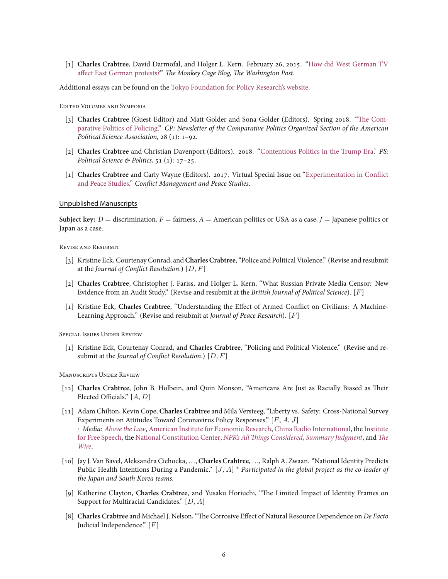[1] **Charles Crabtree**, David Darmofal, and Holger L. Kern. February 26, 2015. ["How did West German TV](http://wapo.st/2gAHw7x) [affect East German protests?"](http://wapo.st/2gAHw7x) *The Monkey Cage Blog, The Washington Post*.

Additional essays can be found on the [Tokyo Foundation for Policy Research's website](https://www.tkfd.or.jp/en/).

Edited Volumes and Symposia

- [3] **Charles Crabtree** (Guest-Editor) and Matt Golder and Sona Golder (Editors). Spring 2018."[The Com](http://comparativenewsletter.com/files/archived_newsletters/2018_spring.pdf)[parative Politics of Policing](http://comparativenewsletter.com/files/archived_newsletters/2018_spring.pdf)." *CP: Newsletter of the Comparative Politics Organized Section of the American Political Science Association*, 28 (1): 1–92.
- [2] **Charles Crabtree** and Christian Davenport (Editors). 2018. ["Contentious Politics in the Trump Era.](https://www.cambridge.org/core/journals/ps-political-science-and-politics/article/contentious-politics-in-the-trump-era/8A14EC673CE2459E4EDD5AF4B1B704C7)' *PS: Political Science & Politics*, 51 (1): 17–25.
- [1] **Charles Crabtree** and Carly Wayne (Editors). 2017. Virtual Special Issue on"[Experimentation in Conflict](http://bit.ly/2x6cyz3) [and Peace Studies](http://bit.ly/2x6cyz3)." *Conflict Management and Peace Studies*.

#### Unpublished Manuscripts

**Subject key:**  $D =$  discrimination,  $F =$  fairness,  $A =$  American politics or USA as a case,  $J =$  Japanese politics or Japan as a case.

Revise and Resubmit

- [3] Kristine Eck, Courtenay Conrad, and**Charles Crabtree**, "Police and Political Violence." (Revise and resubmit at the *Journal of Conflict Resolution*.) [*D, F*]
- [2] **Charles Crabtree**, Christopher J. Fariss, and Holger L. Kern, "What Russian Private Media Censor: New Evidence from an Audit Study." (Revise and resubmit at the *British Journal of Political Science*). [*F*]
- [1] Kristine Eck, **Charles Crabtree**, "Understanding the Effect of Armed Conflict on Civilians: A Machine-Learning Approach." (Revise and resubmit at *Journal of Peace Research*). [*F*]

Special Issues Under Review

[1] Kristine Eck, Courtenay Conrad, and **Charles Crabtree**, "Policing and Political Violence." (Revise and resubmit at the *Journal of Conflict Resolution*.) [*D, F*]

Manuscripts Under Review

- [12] **Charles Crabtree**, John B. Holbein, and Quin Monson, "Americans Are Just as Racially Biased as Their Elected Officials." [*A*, *D*]
- [11] Adam Chilton, Kevin Cope, **Charles Crabtree** and Mila Versteeg, "Liberty vs. Safety: Cross-National Survey Experiments on Attitudes Toward Coronavirus Policy Responses." [*F*, *A*, *J*] *· Media: [Above the Law](https://abovethelaw.com/2020/03/covid-19-brings-all-of-america-together-to-trash-the-constitution/)*, [American Institute for Economic Research,](https://www.aier.org/article/why-facts-dont-matter-to-people/) [China Radio International](http://chinaplus.cri.cn/podcast/detail/1/215055), the [Institute](https://www.ifs.org/news/daily-media-links-3-26-2/) [for Free Speech](https://www.ifs.org/news/daily-media-links-3-26-2/), the [National Constitution Center](https://constitutioncenter.org/blog/battle-for-the-constitution-week-of-mar-23rd-2020-roundup), *[NPR's All Things Considered](https://www.npr.org/2020/04/12/832861825/many-americans-willing-to-trade-some-civil-liberties-to-combat-coronavirus)*, *[Summary Judgment](https://www.summarycommajudgment.com/blog/covid-19-civil-liberties-and-the-constitution)*, and *[The](https://thewire.in/law/is-the-national-lockdown-in-india-constitutionally-valid) [Wire](https://thewire.in/law/is-the-national-lockdown-in-india-constitutionally-valid)*.
- [10] Jay J. Van Bavel, Aleksandra Cichocka, …, **Charles Crabtree**, …, Ralph A. Zwaan. "National Identity Predicts Public Health Intentions During a Pandemic." [*J*, *A*] *<sup>∗</sup> Participated in the global project as the co-leader of the Japan and South Korea teams.*
- [9] Katherine Clayton, **Charles Crabtree**, and Yusaku Horiuchi, "The Limited Impact of Identity Frames on Support for Multiracial Candidates." [*D*, *A*]
- [8] **Charles Crabtree** and Michael J. Nelson, "The Corrosive Effect of Natural Resource Dependence on *De Facto* Judicial Independence." [*F*]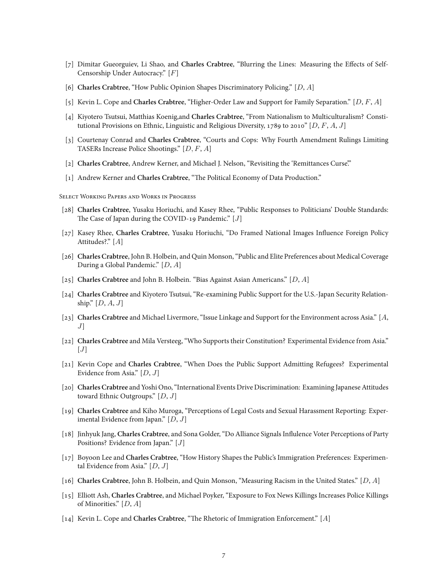- [7] Dimitar Gueorguiev, Li Shao, and **Charles Crabtree**, "Blurring the Lines: Measuring the Effects of Self-Censorship Under Autocracy." [*F*]
- [6] **Charles Crabtree**, "How Public Opinion Shapes Discriminatory Policing." [*D*, *A*]
- [5] Kevin L. Cope and **Charles Crabtree**, "Higher-Order Law and Support for Family Separation." [*D*, *F*, *A*]
- [4] Kiyotero Tsutsui, Matthias Koenig,and **Charles Crabtree**, "From Nationalism to Multiculturalism? Constitutional Provisions on Ethnic, Linguistic and Religious Diversity, 1789 to 2010" [*D*, *F*, *A*, *J*]
- [3] Courtenay Conrad and **Charles Crabtree**, "Courts and Cops: Why Fourth Amendment Rulings Limiting TASERs Increase Police Shootings." [*D, F*, *A*]
- [2] **Charles Crabtree**, Andrew Kerner, and Michael J. Nelson, "Revisiting the 'Remittances Curse'."
- [1] Andrew Kerner and **Charles Crabtree**, "The Political Economy of Data Production."

Select Working Papers and Works in Progress

- [28] **Charles Crabtree**, Yusaku Horiuchi, and Kasey Rhee, "Public Responses to Politicians' Double Standards: The Case of Japan during the COVID-19 Pandemic." [*J*]
- [27] Kasey Rhee, **Charles Crabtree**, Yusaku Horiuchi, "Do Framed National Images Influence Foreign Policy Attitudes?." [*A*]
- [26] **Charles Crabtree**, John B. Holbein, and Quin Monson, "Public and Elite Preferences about Medical Coverage During a Global Pandemic." [*D*, *A*]
- [25] **Charles Crabtree** and John B. Holbein. "Bias Against Asian Americans." [*D*, *A*]
- [24] **Charles Crabtree** and Kiyotero Tsutsui, "Re-examining Public Support for the U.S.-Japan Security Relationship." [*D*, *A*, *J*]
- [23] **Charles Crabtree** and Michael Livermore, "Issue Linkage and Support for the Environment across Asia." [*A*, *J*]
- [22] **Charles Crabtree** and Mila Versteeg, "Who Supports their Constitution? Experimental Evidence from Asia."  $[J]$
- [21] Kevin Cope and **Charles Crabtree**, "When Does the Public Support Admitting Refugees? Experimental Evidence from Asia." [*D*, *J*]
- [20] **Charles Crabtree** and Yoshi Ono, "International Events Drive Discrimination: Examining Japanese Attitudes toward Ethnic Outgroups." [*D*, *J*]
- [19] **Charles Crabtree** and Kiho Muroga, "Perceptions of Legal Costs and Sexual Harassment Reporting: Experimental Evidence from Japan." [*D*, *J*]
- [18] Jinhyuk Jang, **Charles Crabtree**, and Sona Golder, "Do Alliance Signals Influlence Voter Perceptions of Party Positions? Evidence from Japan." [*J*]
- [17] Boyoon Lee and **Charles Crabtree**, "How History Shapes the Public's Immigration Preferences: Experimental Evidence from Asia." [*D*, *J*]
- [16] **Charles Crabtree**, John B. Holbein, and Quin Monson, "Measuring Racism in the United States." [*D*, *A*]
- [15] Elliott Ash, **Charles Crabtree**, and Michael Poyker, "Exposure to Fox News Killings Increases Police Killings of Minorities." [*D*, *A*]
- [14] Kevin L. Cope and **Charles Crabtree**, "The Rhetoric of Immigration Enforcement." [*A*]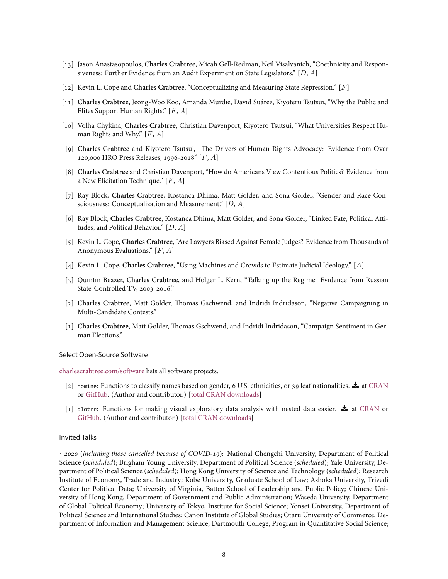- [13] Jason Anastasopoulos, **Charles Crabtree**, Micah Gell-Redman, Neil Visalvanich, "Coethnicity and Responsiveness: Further Evidence from an Audit Experiment on State Legislators." [*D*, *A*]
- [12] Kevin L. Cope and **Charles Crabtree**, "Conceptualizing and Measuring State Repression." [*F*]
- [11] **Charles Crabtree**, Jeong-Woo Koo, Amanda Murdie, David Suárez, Kiyoteru Tsutsui, "Why the Public and Elites Support Human Rights." [*F*, *A*]
- [10] Volha Chykina, **Charles Crabtree**, Christian Davenport, Kiyotero Tsutsui, "What Universities Respect Human Rights and Why." [*F*, *A*]
- [9] **Charles Crabtree** and Kiyotero Tsutsui, "The Drivers of Human Rights Advocacy: Evidence from Over 120,000 HRO Press Releases, 1996-2018" [*F*, *A*]
- [8] **Charles Crabtree** and Christian Davenport, "How do Americans View Contentious Politics? Evidence from a New Elicitation Technique." [*F*, *A*]
- [7] Ray Block, **Charles Crabtree**, Kostanca Dhima, Matt Golder, and Sona Golder, "Gender and Race Consciousness: Conceptualization and Measurement." [*D*, *A*]
- [6] Ray Block, **Charles Crabtree**, Kostanca Dhima, Matt Golder, and Sona Golder, "Linked Fate, Political Attitudes, and Political Behavior." [*D*, *A*]
- [5] Kevin L. Cope, **Charles Crabtree**, "Are Lawyers Biased Against Female Judges? Evidence from Thousands of Anonymous Evaluations." [*F*, *A*]
- [4] Kevin L. Cope, **Charles Crabtree**, "Using Machines and Crowds to Estimate Judicial Ideology." [*A*]
- [3] Quintin Beazer, **Charles Crabtree**, and Holger L. Kern, "Talking up the Regime: Evidence from Russian State-Controlled TV, 2003-2016."
- [2] **Charles Crabtree**, Matt Golder, Thomas Gschwend, and Indridi Indridason, "Negative Campaigning in Multi-Candidate Contests."
- [1] **Charles Crabtree**, Matt Golder, Thomas Gschwend, and Indridi Indridason, "Campaign Sentiment in German Elections."

#### Select Open-Source Software

[charlescrabtree.com/software](http://charlescrabtree.com/software.php) lists all software projects.

- [2] nomine: Functions to classify names based on gender, 6 U.S. ethnicities, or 39 leaf nationalities.  $\blacktriangle$  at [CRAN](https://CRAN.R-project.org/package=nomine) or [GitHub](https://github.com/cdcrabtree/nomine). (Author and contributor.) [\[total CRAN downloads](https://cranlogs.r-pkg.org/badges/grand-total/nomine)]
- [1] plotrr: Functions for making visual exploratory data analysis with nested data easier.  $\blacktriangle$  at [CRAN](https://CRAN.R-project.org/package=plotrr) or [GitHub](https://github.com/cdcrabtree/plotrr). (Author and contributor.) [\[total CRAN downloads](https://cranlogs.r-pkg.org/badges/grand-total/plotrr)]

#### Invited Talks

*· 2020* (*including those cancelled because of COVID-19*): National Chengchi University, Department of Political Science (*scheduled*); Brigham Young University, Department of Political Science (*scheduled*); Yale University, Department of Political Science (*scheduled*); Hong Kong University of Science and Technology (*scheduled*); Research Institute of Economy, Trade and Industry; Kobe University, Graduate School of Law; Ashoka University, Trivedi Center for Political Data; University of Virginia, Batten School of Leadership and Public Policy; Chinese University of Hong Kong, Department of Government and Public Administration; Waseda University, Department of Global Political Economy; University of Tokyo, Institute for Social Science; Yonsei University, Department of Political Science and International Studies; Canon Institute of Global Studies; Otaru University of Commerce, Department of Information and Management Science; Dartmouth College, Program in Quantitative Social Science;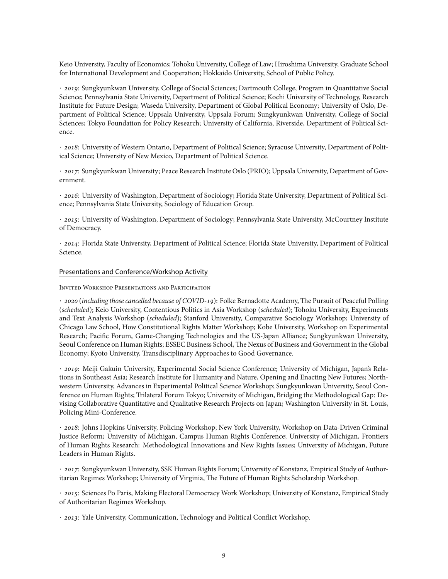Keio University, Faculty of Economics; Tohoku University, College of Law; Hiroshima University, Graduate School for International Development and Cooperation; Hokkaido University, School of Public Policy.

*· 2019*: Sungkyunkwan University, College of Social Sciences; Dartmouth College, Program in Quantitative Social Science; Pennsylvania State University, Department of Political Science; Kochi University of Technology, Research Institute for Future Design; Waseda University, Department of Global Political Economy; University of Oslo, Department of Political Science; Uppsala University, Uppsala Forum; Sungkyunkwan University, College of Social Sciences; Tokyo Foundation for Policy Research; University of California, Riverside, Department of Political Science.

*· 2018*: University of Western Ontario, Department of Political Science; Syracuse University, Department of Political Science; University of New Mexico, Department of Political Science.

*· 2017*: Sungkyunkwan University; Peace Research Institute Oslo (PRIO); Uppsala University, Department of Government.

*· 2016*: University of Washington, Department of Sociology; Florida State University, Department of Political Science; Pennsylvania State University, Sociology of Education Group.

*· 2015*: University of Washington, Department of Sociology; Pennsylvania State University, McCourtney Institute of Democracy.

*· 2014*: Florida State University, Department of Political Science; Florida State University, Department of Political Science.

#### Presentations and Conference/Workshop Activity

Invited Workshop Presentations and Participation

*· 2020* (*including those cancelled because of COVID-19*): Folke Bernadotte Academy, The Pursuit of Peaceful Polling (*scheduled*); Keio University, Contentious Politics in Asia Workshop (*scheduled*); Tohoku University, Experiments and Text Analysis Workshop (*scheduled*); Stanford University, Comparative Sociology Workshop; University of Chicago Law School, How Constitutional Rights Matter Workshop; Kobe University, Workshop on Experimental Research; Pacific Forum, Game-Changing Technologies and the US-Japan Alliance; Sungkyunkwan University, Seoul Conference on Human Rights; ESSEC Business School, The Nexus of Business and Government in the Global Economy; Kyoto University, Transdisciplinary Approaches to Good Governance.

*· 2019*: Meiji Gakuin University, Experimental Social Science Conference; University of Michigan, Japan's Relations in Southeast Asia; Research Institute for Humanity and Nature, Opening and Enacting New Futures; Northwestern University, Advances in Experimental Political Science Workshop; Sungkyunkwan University, Seoul Conference on Human Rights; Trilateral Forum Tokyo; University of Michigan, Bridging the Methodological Gap: Devising Collaborative Quantitative and Qualitative Research Projects on Japan; Washington University in St. Louis, Policing Mini-Conference.

*· 2018*: Johns Hopkins University, Policing Workshop; New York University, Workshop on Data-Driven Criminal Justice Reform; University of Michigan, Campus Human Rights Conference; University of Michigan, Frontiers of Human Rights Research: Methodological Innovations and New Rights Issues; University of Michigan, Future Leaders in Human Rights.

*· 2017*: Sungkyunkwan University, SSK Human Rights Forum; University of Konstanz, Empirical Study of Authoritarian Regimes Workshop; University of Virginia, The Future of Human Rights Scholarship Workshop.

*· 2015*: Sciences Po Paris, Making Electoral Democracy Work Workshop; University of Konstanz, Empirical Study of Authoritarian Regimes Workshop.

*· 2013*: Yale University, Communication, Technology and Political Conflict Workshop.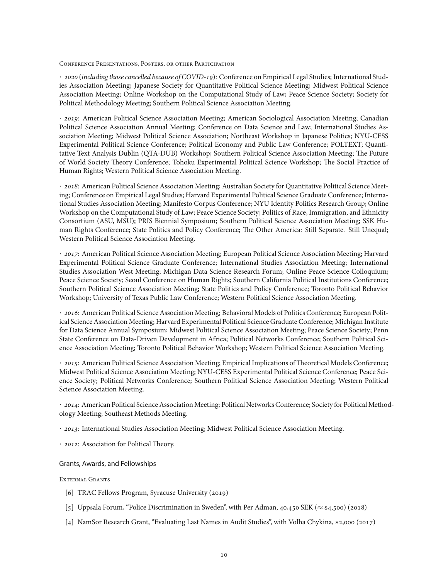Conference Presentations, Posters, or other Participation

*· 2020* (*including those cancelled because of COVID-19*): Conference on Empirical Legal Studies; International Studies Association Meeting; Japanese Society for Quantitative Political Science Meeting; Midwest Political Science Association Meeting; Online Workshop on the Computational Study of Law; Peace Science Society; Society for Political Methodology Meeting; Southern Political Science Association Meeting.

*· 2019*: American Political Science Association Meeting; American Sociological Association Meeting; Canadian Political Science Association Annual Meeting; Conference on Data Science and Law; International Studies Association Meeting; Midwest Political Science Association; Northeast Workshop in Japanese Politics; NYU-CESS Experimental Political Science Conference; Political Economy and Public Law Conference; POLTEXT; Quantitative Text Analysis Dublin (QTA-DUB) Workshop; Southern Political Science Association Meeting; The Future of World Society Theory Conference; Tohoku Experimental Political Science Workshop; The Social Practice of Human Rights; Western Political Science Association Meeting.

*· 2018*: American Political Science Association Meeting; Australian Society for Quantitative Political Science Meeting; Conference on Empirical Legal Studies; Harvard Experimental Political Science Graduate Conference; International Studies Association Meeting; Manifesto Corpus Conference; NYU Identity Politics Research Group; Online Workshop on the Computational Study of Law; Peace Science Society; Politics of Race, Immigration, and Ethnicity Consortium (ASU, MSU); PRIS Biennial Symposium; Southern Political Science Association Meeting; SSK Human Rights Conference; State Politics and Policy Conference; The Other America: Still Separate. Still Unequal; Western Political Science Association Meeting.

*· 2017*: American Political Science Association Meeting; European Political Science Association Meeting; Harvard Experimental Political Science Graduate Conference; International Studies Association Meeting; International Studies Association West Meeting; Michigan Data Science Research Forum; Online Peace Science Colloquium; Peace Science Society; Seoul Conference on Human Rights; Southern California Political Institutions Conference; Southern Political Science Association Meeting; State Politics and Policy Conference; Toronto Political Behavior Workshop; University of Texas Public Law Conference; Western Political Science Association Meeting.

*· 2016*: American Political Science Association Meeting; Behavioral Models of Politics Conference; European Political Science Association Meeting; Harvard Experimental Political Science Graduate Conference; Michigan Institute for Data Science Annual Symposium; Midwest Political Science Association Meeting; Peace Science Society; Penn State Conference on Data-Driven Development in Africa; Political Networks Conference; Southern Political Science Association Meeting; Toronto Political Behavior Workshop; Western Political Science Association Meeting.

*· 2015*: American Political Science Association Meeting; Empirical Implications ofTheoretical Models Conference; Midwest Political Science Association Meeting; NYU-CESS Experimental Political Science Conference; Peace Science Society; Political Networks Conference; Southern Political Science Association Meeting; Western Political Science Association Meeting.

*· 2014*: American Political Science Association Meeting; Political Networks Conference; Society for Political Methodology Meeting; Southeast Methods Meeting.

- *· 2013*: International Studies Association Meeting; Midwest Political Science Association Meeting.
- *· 2012*: Association for Political Theory.

#### Grants, Awards, and Fellowships

#### EXTERNAL GRANTS

- [6] TRAC Fellows Program, Syracuse University (2019)
- [5] Uppsala Forum, "Police Discrimination in Sweden", with Per Adman, 40,450 SEK (*≈* \$4,500) (2018)
- [4] NamSor Research Grant, "Evaluating Last Names in Audit Studies", with Volha Chykina, \$2,000 (2017)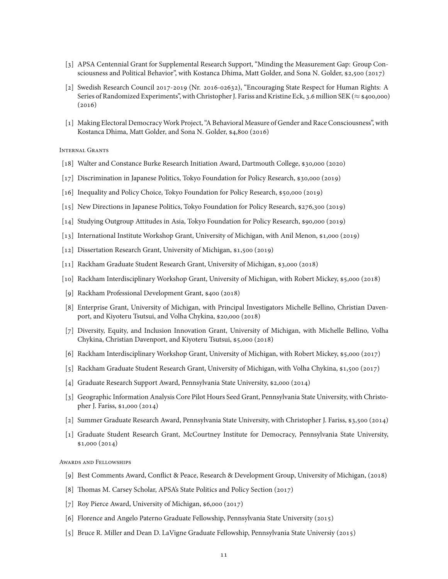- [3] APSA Centennial Grant for Supplemental Research Support, "Minding the Measurement Gap: Group Consciousness and Political Behavior", with Kostanca Dhima, Matt Golder, and Sona N. Golder, \$2,500 (2017)
- [2] Swedish Research Council 2017-2019 (Nr. 2016-02632), "Encouraging State Respect for Human Rights: A Series of Randomized Experiments", with Christopher J. Fariss and Kristine Eck, 3.6 million SEK (*≈* \$400,000)  $(2016)$
- [1] Making Electoral Democracy Work Project, "A Behavioral Measure of Gender and Race Consciousness", with Kostanca Dhima, Matt Golder, and Sona N. Golder, \$4,800 (2016)

Internal Grants

- [18] Walter and Constance Burke Research Initiation Award, Dartmouth College, \$30,000 (2020)
- [17] Discrimination in Japanese Politics, Tokyo Foundation for Policy Research, \$30,000 (2019)
- [16] Inequality and Policy Choice, Tokyo Foundation for Policy Research, \$50,000 (2019)
- [15] New Directions in Japanese Politics, Tokyo Foundation for Policy Research, \$276,300 (2019)
- [14] Studying Outgroup Attitudes in Asia, Tokyo Foundation for Policy Research, \$90,000 (2019)
- [13] International Institute Workshop Grant, University of Michigan, with Anil Menon, \$1,000 (2019)
- [12] Dissertation Research Grant, University of Michigan, \$1,500 (2019)
- [11] Rackham Graduate Student Research Grant, University of Michigan, \$3,000 (2018)
- [10] Rackham Interdisciplinary Workshop Grant, University of Michigan, with Robert Mickey, \$5,000 (2018)
- [9] Rackham Professional Development Grant, \$400 (2018)
- [8] Enterprise Grant, University of Michigan, with Principal Investigators Michelle Bellino, Christian Davenport, and Kiyoteru Tsutsui, and Volha Chykina, \$20,000 (2018)
- [7] Diversity, Equity, and Inclusion Innovation Grant, University of Michigan, with Michelle Bellino, Volha Chykina, Christian Davenport, and Kiyoteru Tsutsui, \$5,000 (2018)
- [6] Rackham Interdisciplinary Workshop Grant, University of Michigan, with Robert Mickey, \$5,000 (2017)
- [5] Rackham Graduate Student Research Grant, University of Michigan, with Volha Chykina, \$1,500 (2017)
- [4] Graduate Research Support Award, Pennsylvania State University, \$2,000 (2014)
- [3] Geographic Information Analysis Core Pilot Hours Seed Grant, Pennsylvania State University, with Christopher J. Fariss, \$1,000 (2014)
- [2] Summer Graduate Research Award, Pennsylvania State University, with Christopher J. Fariss, \$3,500 (2014)
- [1] Graduate Student Research Grant, McCourtney Institute for Democracy, Pennsylvania State University, \$1,000 (2014)

Awards and Fellowships

- [9] Best Comments Award, Conflict & Peace, Research & Development Group, University of Michigan, (2018)
- [8] Thomas M. Carsey Scholar, APSA's State Politics and Policy Section (2017)
- [7] Roy Pierce Award, University of Michigan, \$6,000 (2017)
- [6] Florence and Angelo Paterno Graduate Fellowship, Pennsylvania State University (2015)
- [5] Bruce R. Miller and Dean D. LaVigne Graduate Fellowship, Pennsylvania State Universiy (2015)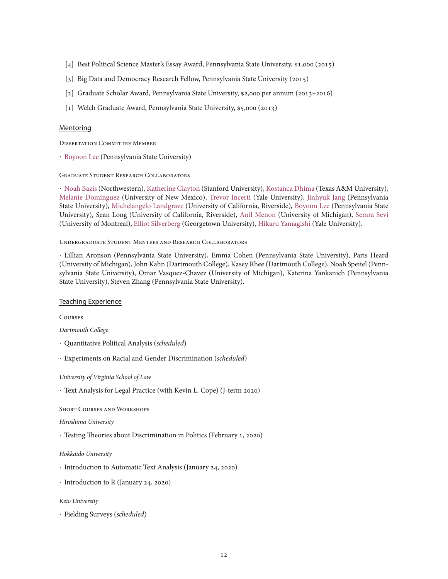- [4] Best Political Science Master's Essay Award, Pennsylvania State University, \$1,000 (2015)
- [3] Big Data and Democracy Research Fellow, Pennsylvania State University (2015)
- [2] Graduate Scholar Award, Pennsylvania State University, \$2,000 per annum (2013–2016)
- [1] Welch Graduate Award, Pennsylvania State University, \$5,000 (2013)

## Mentoring

Dissertation Committee Member

*·* [Boyoon Lee](https://boyoonlee.com/) (Pennsylvania State University)

## Graduate Student Research Collaborators

*·* [Noah Bazis](https://www.goladderup.org/about/) (Northwestern), [Katherine Clayton](https://t.co/tpzzNLHbS5?amp=1) (Stanford University), [Kostanca Dhima](https://kdhima.com/) (Texas A&M University), [Melanie Dominguez](https://polisci.unm.edu/people/graduate-students/profile/melanie-sonntag.html) (University of New Mexico), [Trevor Incerti](https://www.trevorincerti.com/) (Yale University), [Jinhyuk Jang](https://www.polisci.la.psu.edu/people/juj81) (Pennsylvania State University), [Michelangelo Landgrave](https://michelangelolandgrave.wordpress.com/) (University of California, Riverside), [Boyoon Lee](https://boyoonlee.com/) (Pennsylvania State University), Sean Long (University of California, Riverside), [Anil Menon](https://sites.lsa.umich.edu/armenon/) (University of Michigan), [Semra Sevi](https://semrasevi.com/) (University of Montreal), [Elliot Silverberg](https://foreignpolicy.com/author/elliot-silverberg/) (Georgetown University), [Hikaru Yamagishi](https://politicalscience.yale.edu/people/hikaru-yamagishi) (Yale University).

#### Undergraduate Student Mentees and Research Collaborators

*·* Lillian Aronson (Pennsylvania State University), Emma Cohen (Pennsylvania State University), Paris Heard (University of Michigan), John Kahn (Dartmouth College), Kasey Rhee (Dartmouth College), Noah Speitel (Pennsylvania State University), Omar Vasquez-Chavez (University of Michigan), Katerina Yankanich (Pennsylvania State University), Steven Zhang (Pennsylvania State University).

## Teaching Experience

Courses

*Dartmouth College*

- *·* Quantitative Political Analysis (*scheduled*)
- *·* Experiments on Racial and Gender Discrimination (*scheduled*)

*University of Virginia School of Law*

*·* Text Analysis for Legal Practice (with Kevin L. Cope) (J-term 2020)

Short Courses and Workshops

#### *Hiroshima University*

*·* Testing Theories about Discrimination in Politics (February 1, 2020)

## *Hokkaido University*

- *·* Introduction to Automatic Text Analysis (January 24, 2020)
- *·* Introduction to R (January 24, 2020)

#### *Keio University*

*·* Fielding Surveys (*scheduled*)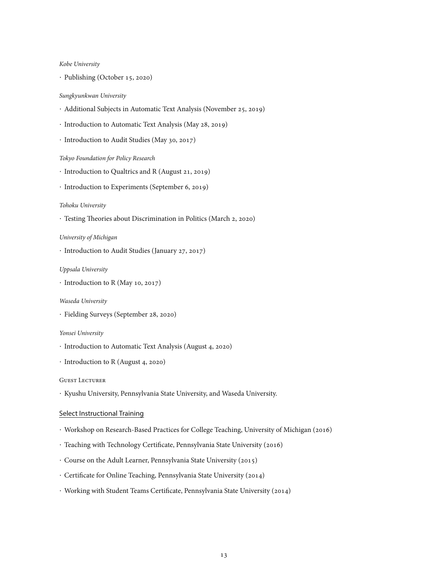#### *Kobe University*

*·* Publishing (October 15, 2020)

#### *Sungkyunkwan University*

- *·* Additional Subjects in Automatic Text Analysis (November 25, 2019)
- *·* Introduction to Automatic Text Analysis (May 28, 2019)
- *·* Introduction to Audit Studies (May 30, 2017)

*Tokyo Foundation for Policy Research*

- *·* Introduction to Qualtrics and R (August 21, 2019)
- *·* Introduction to Experiments (September 6, 2019)

## *Tohoku University*

*·* Testing Theories about Discrimination in Politics (March 2, 2020)

## *University of Michigan*

*·* Introduction to Audit Studies (January 27, 2017)

## *Uppsala University*

*·* Introduction to R (May 10, 2017)

## *Waseda University*

*·* Fielding Surveys (September 28, 2020)

#### *Yonsei University*

- *·* Introduction to Automatic Text Analysis (August 4, 2020)
- *·* Introduction to R (August 4, 2020)

#### Guest Lecturer

*·* Kyushu University, Pennsylvania State University, and Waseda University.

## Select Instructional Training

- *·* Workshop on Research-Based Practices for College Teaching, University of Michigan (2016)
- *·* Teaching with Technology Certificate, Pennsylvania State University (2016)
- *·* Course on the Adult Learner, Pennsylvania State University (2015)
- *·* Certificate for Online Teaching, Pennsylvania State University (2014)
- *·* Working with Student Teams Certificate, Pennsylvania State University (2014)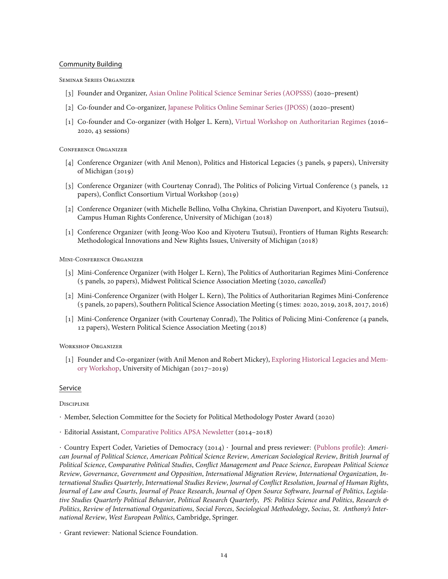## Community Building

Seminar Series Organizer

- [3] Founder and Organizer, [Asian Online Political Science Seminar Series \(AOPSSS\)](http://aopsss.org/) (2020–present)
- [2] Co-founder and Co-organizer, [Japanese Politics Online Seminar Series \(JPOSS\)](http://jposs.org/) (2020–present)
- [1] Co-founder and Co-organizer (with Holger L. Kern), [Virtual Workshop on Authoritarian Regimes](http://authoritarianregimes.org) (2016– 2020, 43 sessions)

## Conference Organizer

- [4] Conference Organizer (with Anil Menon), Politics and Historical Legacies (3 panels, 9 papers), University of Michigan (2019)
- [3] Conference Organizer (with Courtenay Conrad), The Politics of Policing Virtual Conference (3 panels, 12 papers), Conflict Consortium Virtual Workshop (2019)
- [2] Conference Organizer (with Michelle Bellino, Volha Chykina, Christian Davenport, and Kiyoteru Tsutsui), Campus Human Rights Conference, University of Michigan (2018)
- [1] Conference Organizer (with Jeong-Woo Koo and Kiyoteru Tsutsui), Frontiers of Human Rights Research: Methodological Innovations and New Rights Issues, University of Michigan (2018)

Mini-Conference Organizer

- [3] Mini-Conference Organizer (with Holger L. Kern), The Politics of Authoritarian Regimes Mini-Conference (5 panels, 20 papers), Midwest Political Science Association Meeting (2020, *cancelled*)
- [2] Mini-Conference Organizer (with Holger L. Kern), The Politics of Authoritarian Regimes Mini-Conference (5 panels, 20 papers), Southern Political Science Association Meeting (5 times: 2020, 2019, 2018, 2017, 2016)
- [1] Mini-Conference Organizer (with Courtenay Conrad), The Politics of Policing Mini-Conference (4 panels, 12 papers), Western Political Science Association Meeting (2018)

Workshop Organizer

[1] Founder and Co-organizer (with Anil Menon and Robert Mickey), [Exploring Historical Legacies and Mem](http://historicallegacies.org/)[ory Workshop](http://historicallegacies.org/), University of Michigan (2017–2019)

## Service

**DISCIPLINE** 

- *·* Member, Selection Committee for the Society for Political Methodology Poster Award (2020)
- *·* Editorial Assistant, [Comparative Politics APSA Newsletter](http://comparativepolitics.com) (2014–2018)

*·* Country Expert Coder, Varieties of Democracy (2014) *·* Journal and press reviewer:([Publons profile\)](https://publons.com/author/1403180/charles-crabtree#profile): *American Journal of Political Science*, *American Political Science Review*, *American Sociological Review*, *British Journal of Political Science*, *Comparative Political Studies*, *Conflict Management and Peace Science*, *European Political Science Review*, *Governance*, *Government and Opposition*, *International Migration Review*, *International Organization*, *International Studies Quarterly*, *International Studies Review*, *Journal of Conflict Resolution*, *Journal of Human Rights*, *Journal of Law and Courts*, *Journal of Peace Research*, *Journal of Open Source Software*, *Journal of Politics*, *Legislative Studies Quarterly Political Behavior*, *Political Research Quarterly*, *PS: Politics Science and Politics*, *Research & Politics*, *Review of International Organizations*, *Social Forces*, *Sociological Methodology*, *Socius*, *St. Anthony's International Review*, *West European Politics*, Cambridge, Springer.

*<sup>·</sup>* Grant reviewer: National Science Foundation.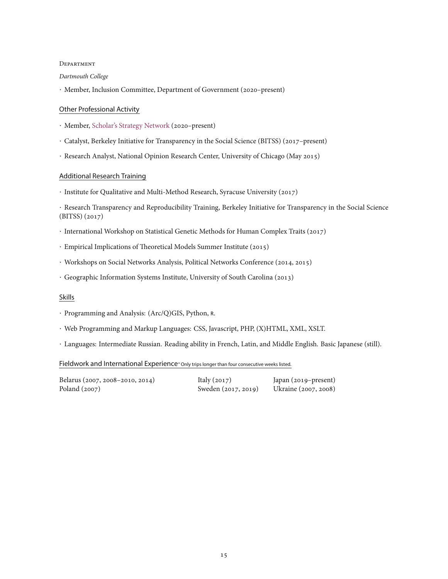#### **DEPARTMENT**

## *Dartmouth College*

*·* Member, Inclusion Committee, Department of Government (2020–present)

## Other Professional Activity

- *·* Member, [Scholar's Strategy Network](https://scholars.org/scholar/charles-crabtree) (2020–present)
- *·* Catalyst, Berkeley Initiative for Transparency in the Social Science (BITSS) (2017–present)
- *·* Research Analyst, National Opinion Research Center, University of Chicago (May 2015)

## Additional Research Training

*·* Institute for Qualitative and Multi-Method Research, Syracuse University (2017)

*·* Research Transparency and Reproducibility Training, Berkeley Initiative for Transparency in the Social Science (BITSS) (2017)

- *·* International Workshop on Statistical Genetic Methods for Human Complex Traits (2017)
- *·* Empirical Implications of Theoretical Models Summer Institute (2015)
- *·* Workshops on Social Networks Analysis, Political Networks Conference (2014, 2015)
- *·* Geographic Information Systems Institute, University of South Carolina (2013)

## Skills

- *·* Programming and Analysis: (Arc/Q)GIS, Python, <sup>R</sup>.
- *·* Web Programming and Markup Languages: CSS, Javascript, PHP, (X)HTML, XML, XSLT.
- *·* Languages: Intermediate Russian. Reading ability in French, Latin, and Middle English. Basic Japanese (still).

## Fieldwork and International Experience*<sup>∗</sup>*Only trips longer than four consecutive weeks listed.

| Belarus (2007, 2008–2010, 2014) | Italy $(2017)$      | Japan (2019–present) |
|---------------------------------|---------------------|----------------------|
| Poland $(2007)$                 | Sweden (2017, 2019) | Ukraine (2007, 2008) |